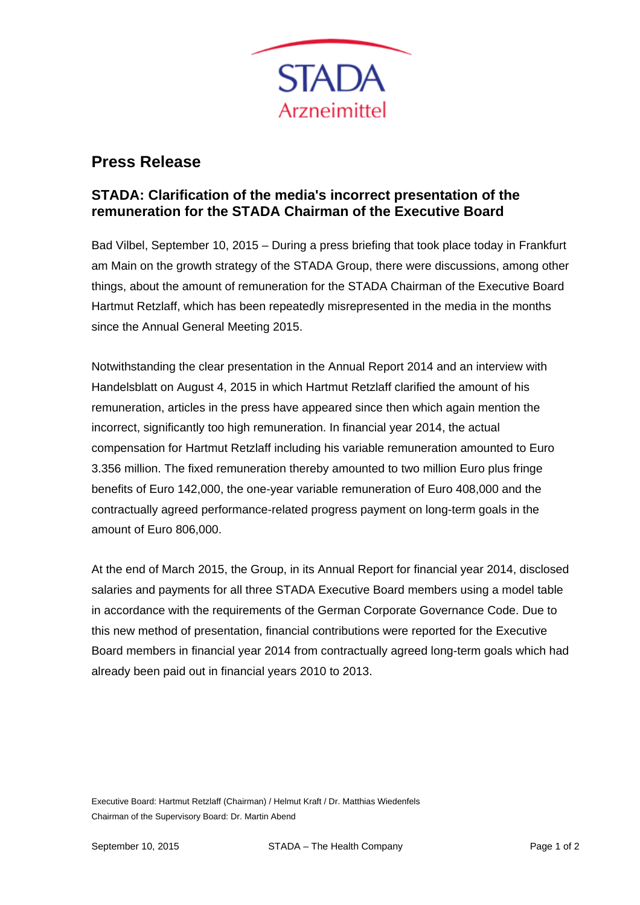

## **Press Release**

## **STADA: Clarification of the media's incorrect presentation of the remuneration for the STADA Chairman of the Executive Board**

Bad Vilbel, September 10, 2015 – During a press briefing that took place today in Frankfurt am Main on the growth strategy of the STADA Group, there were discussions, among other things, about the amount of remuneration for the STADA Chairman of the Executive Board Hartmut Retzlaff, which has been repeatedly misrepresented in the media in the months since the Annual General Meeting 2015.

Notwithstanding the clear presentation in the Annual Report 2014 and an interview with Handelsblatt on August 4, 2015 in which Hartmut Retzlaff clarified the amount of his remuneration, articles in the press have appeared since then which again mention the incorrect, significantly too high remuneration. In financial year 2014, the actual compensation for Hartmut Retzlaff including his variable remuneration amounted to Euro 3.356 million. The fixed remuneration thereby amounted to two million Euro plus fringe benefits of Euro 142,000, the one-year variable remuneration of Euro 408,000 and the contractually agreed performance-related progress payment on long-term goals in the amount of Euro 806,000.

At the end of March 2015, the Group, in its Annual Report for financial year 2014, disclosed salaries and payments for all three STADA Executive Board members using a model table in accordance with the requirements of the German Corporate Governance Code. Due to this new method of presentation, financial contributions were reported for the Executive Board members in financial year 2014 from contractually agreed long-term goals which had already been paid out in financial years 2010 to 2013.

Executive Board: Hartmut Retzlaff (Chairman) / Helmut Kraft / Dr. Matthias Wiedenfels Chairman of the Supervisory Board: Dr. Martin Abend